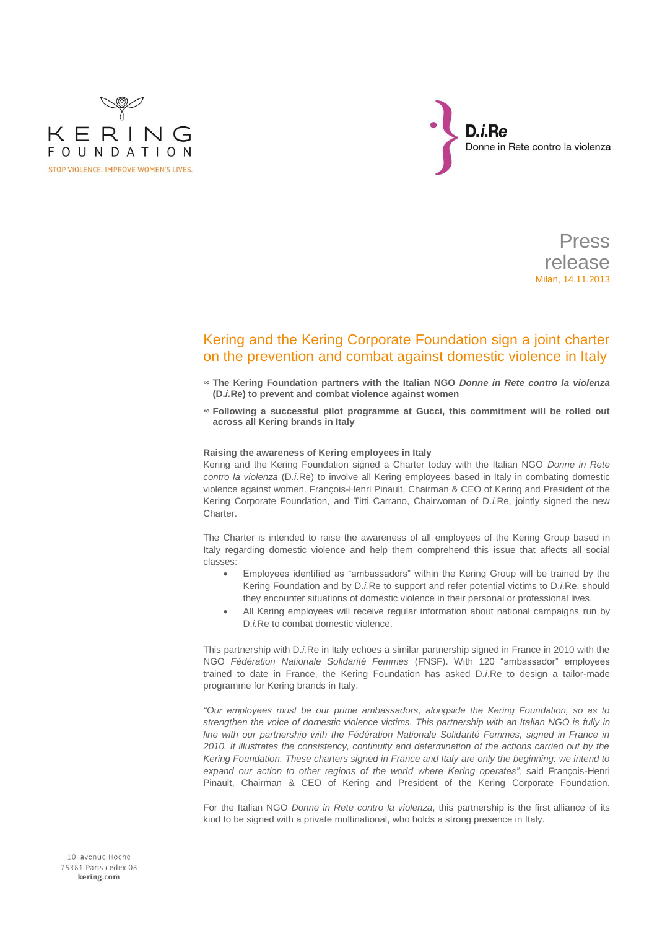



Press release Milan, 14.11.2013

# Kering and the Kering Corporate Foundation sign a joint charter on the prevention and combat against domestic violence in Italy

- **∞ The Kering Foundation partners with the Italian NGO** *Donne in Rete contro la violenza* **(D.***i.***Re) to prevent and combat violence against women**
- **∞ Following a successful pilot programme at Gucci, this commitment will be rolled out across all Kering brands in Italy**

## **Raising the awareness of Kering employees in Italy**

Kering and the Kering Foundation signed a Charter today with the Italian NGO *Donne in Rete contro la violenza* (D*.i*.Re) to involve all Kering employees based in Italy in combating domestic violence against women. François-Henri Pinault, Chairman & CEO of Kering and President of the Kering Corporate Foundation, and Titti Carrano, Chairwoman of D.*i.*Re, jointly signed the new Charter.

The Charter is intended to raise the awareness of all employees of the Kering Group based in Italy regarding domestic violence and help them comprehend this issue that affects all social classes:

- Employees identified as "ambassadors" within the Kering Group will be trained by the Kering Foundation and by D.*i.*Re to support and refer potential victims to D.*i*.Re, should they encounter situations of domestic violence in their personal or professional lives.
- All Kering employees will receive regular information about national campaigns run by D.*i.*Re to combat domestic violence.

This partnership with D.*i.*Re in Italy echoes a similar partnership signed in France in 2010 with the NGO *Fédération Nationale Solidarité Femmes* (FNSF). With 120 "ambassador" employees trained to date in France, the Kering Foundation has asked D.*i*.Re to design a tailor-made programme for Kering brands in Italy.

*"Our employees must be our prime ambassadors, alongside the Kering Foundation, so as to strengthen the voice of domestic violence victims. This partnership with an Italian NGO is fully in*  line with our partnership with the Fédération Nationale Solidarité Femmes, signed in France in *2010. It illustrates the consistency, continuity and determination of the actions carried out by the Kering Foundation. These charters signed in France and Italy are only the beginning: we intend to expand our action to other regions of the world where Kering operates",* said François-Henri Pinault, Chairman & CEO of Kering and President of the Kering Corporate Foundation.

For the Italian NGO *Donne in Rete contro la violenza*, this partnership is the first alliance of its kind to be signed with a private multinational, who holds a strong presence in Italy.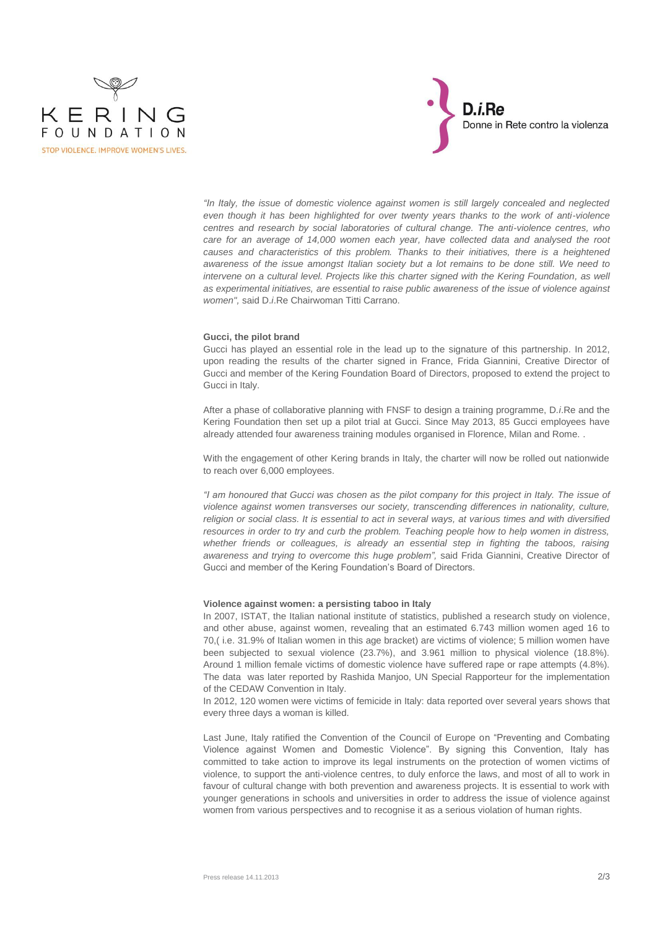



*"In Italy, the issue of domestic violence against women is still largely concealed and neglected even though it has been highlighted for over twenty years thanks to the work of anti-violence centres and research by social laboratories of cultural change. The anti-violence centres, who care for an average of 14,000 women each year, have collected data and analysed the root causes and characteristics of this problem. Thanks to their initiatives, there is a heightened awareness of the issue amongst Italian society but a lot remains to be done still. We need to intervene on a cultural level. Projects like this charter signed with the Kering Foundation, as well as experimental initiatives, are essential to raise public awareness of the issue of violence against women",* said D.*i*.Re Chairwoman Titti Carrano.

### **Gucci, the pilot brand**

Gucci has played an essential role in the lead up to the signature of this partnership. In 2012, upon reading the results of the charter signed in France, Frida Giannini, Creative Director of Gucci and member of the Kering Foundation Board of Directors, proposed to extend the project to Gucci in Italy.

After a phase of collaborative planning with FNSF to design a training programme, D*.i*.Re and the Kering Foundation then set up a pilot trial at Gucci. Since May 2013, 85 Gucci employees have already attended four awareness training modules organised in Florence, Milan and Rome. .

With the engagement of other Kering brands in Italy, the charter will now be rolled out nationwide to reach over 6,000 employees.

*"I am honoured that Gucci was chosen as the pilot company for this project in Italy. The issue of violence against women transverses our society, transcending differences in nationality, culture, religion or social class. It is essential to act in several ways, at various times and with diversified resources in order to try and curb the problem. Teaching people how to help women in distress, whether friends or colleagues, is already an essential step in fighting the taboos, raising awareness and trying to overcome this huge problem",* said Frida Giannini, Creative Director of Gucci and member of the Kering Foundation's Board of Directors.

# **Violence against women: a persisting taboo in Italy**

In 2007, ISTAT, the Italian national institute of statistics, published a research study on violence, and other abuse, against women, revealing that an estimated 6.743 million women aged 16 to 70,( i.e. 31.9% of Italian women in this age bracket) are victims of violence; 5 million women have been subjected to sexual violence (23.7%), and 3.961 million to physical violence (18.8%). Around 1 million female victims of domestic violence have suffered rape or rape attempts (4.8%). The data was later reported by Rashida Manjoo, UN Special Rapporteur for the implementation of the CEDAW Convention in Italy.

In 2012, 120 women were victims of femicide in Italy: data reported over several years shows that every three days a woman is killed.

Last June, Italy ratified the Convention of the Council of Europe on "Preventing and Combating Violence against Women and Domestic Violence". By signing this Convention, Italy has committed to take action to improve its legal instruments on the protection of women victims of violence, to support the anti-violence centres, to duly enforce the laws, and most of all to work in favour of cultural change with both prevention and awareness projects. It is essential to work with younger generations in schools and universities in order to address the issue of violence against women from various perspectives and to recognise it as a serious violation of human rights.